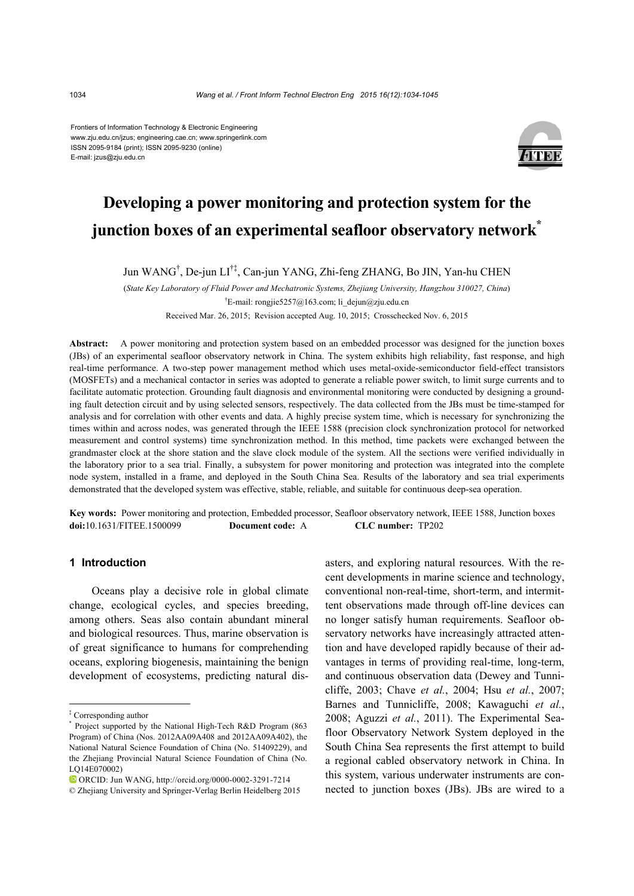Frontiers of Information Technology & Electronic Engineering www.zju.edu.cn/jzus; engineering.cae.cn; www.springerlink.com ISSN 2095-9184 (print); ISSN 2095-9230 (online) E-mail: jzus@zju.edu.cn



# **Developing a power monitoring and protection system for the junction boxes of an experimental seafloor observatory network\***

Jun WANG† , De-jun LI†‡, Can-jun YANG, Zhi-feng ZHANG, Bo JIN, Yan-hu CHEN

(*State Key Laboratory of Fluid Power and Mechatronic Systems, Zhejiang University, Hangzhou 310027, China*) † E-mail: rongjie5257@163.com; li\_dejun@zju.edu.cn Received Mar. 26, 2015; Revision accepted Aug. 10, 2015; Crosschecked Nov. 6, 2015

**Abstract:** A power monitoring and protection system based on an embedded processor was designed for the junction boxes (JBs) of an experimental seafloor observatory network in China. The system exhibits high reliability, fast response, and high real-time performance. A two-step power management method which uses metal-oxide-semiconductor field-effect transistors (MOSFETs) and a mechanical contactor in series was adopted to generate a reliable power switch, to limit surge currents and to facilitate automatic protection. Grounding fault diagnosis and environmental monitoring were conducted by designing a grounding fault detection circuit and by using selected sensors, respectively. The data collected from the JBs must be time-stamped for analysis and for correlation with other events and data. A highly precise system time, which is necessary for synchronizing the times within and across nodes, was generated through the IEEE 1588 (precision clock synchronization protocol for networked measurement and control systems) time synchronization method. In this method, time packets were exchanged between the grandmaster clock at the shore station and the slave clock module of the system. All the sections were verified individually in the laboratory prior to a sea trial. Finally, a subsystem for power monitoring and protection was integrated into the complete node system, installed in a frame, and deployed in the South China Sea. Results of the laboratory and sea trial experiments demonstrated that the developed system was effective, stable, reliable, and suitable for continuous deep-sea operation.

**Key words:** Power monitoring and protection, Embedded processor, Seafloor observatory network, IEEE 1588, Junction boxes **doi:**10.1631/FITEE.1500099 **Document code:** A **CLC number:** TP202

# **1 Introduction**

Oceans play a decisive role in global climate change, ecological cycles, and species breeding, among others. Seas also contain abundant mineral and biological resources. Thus, marine observation is of great significance to humans for comprehending oceans, exploring biogenesis, maintaining the benign development of ecosystems, predicting natural disasters, and exploring natural resources. With the recent developments in marine science and technology, conventional non-real-time, short-term, and intermittent observations made through off-line devices can no longer satisfy human requirements. Seafloor observatory networks have increasingly attracted attention and have developed rapidly because of their advantages in terms of providing real-time, long-term, and continuous observation data (Dewey and Tunnicliffe, 2003; Chave *et al.*, 2004; Hsu *et al.*, 2007; Barnes and Tunnicliffe, 2008; Kawaguchi *et al.*, 2008; Aguzzi *et al.*, 2011). The Experimental Seafloor Observatory Network System deployed in the South China Sea represents the first attempt to build a regional cabled observatory network in China. In this system, various underwater instruments are connected to junction boxes (JBs). JBs are wired to a

<sup>‡</sup> Corresponding author

<sup>\*</sup> Project supported by the National High-Tech R&D Program (863 Program) of China (Nos. 2012AA09A408 and 2012AA09A402), the National Natural Science Foundation of China (No. 51409229), and the Zhejiang Provincial Natural Science Foundation of China (No. LQ14E070002)

ORCID: Jun WANG, http://orcid.org/0000-0002-3291-7214

<sup>©</sup> Zhejiang University and Springer-Verlag Berlin Heidelberg 2015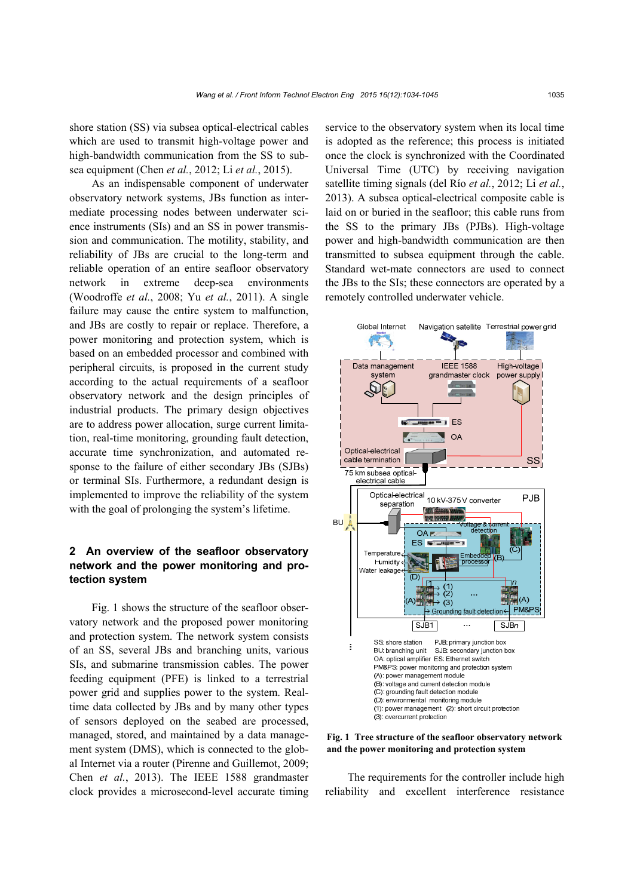shore station (SS) via subsea optical-electrical cables which are used to transmit high-voltage power and high-bandwidth communication from the SS to subsea equipment (Chen *et al.*, 2012; Li *et al.*, 2015).

As an indispensable component of underwater observatory network systems, JBs function as intermediate processing nodes between underwater science instruments (SIs) and an SS in power transmission and communication. The motility, stability, and reliability of JBs are crucial to the long-term and reliable operation of an entire seafloor observatory network in extreme deep-sea environments (Woodroffe *et al.*, 2008; Yu *et al.*, 2011). A single failure may cause the entire system to malfunction, and JBs are costly to repair or replace. Therefore, a power monitoring and protection system, which is based on an embedded processor and combined with peripheral circuits, is proposed in the current study according to the actual requirements of a seafloor observatory network and the design principles of industrial products. The primary design objectives are to address power allocation, surge current limitation, real-time monitoring, grounding fault detection, accurate time synchronization, and automated response to the failure of either secondary JBs (SJBs) or terminal SIs. Furthermore, a redundant design is implemented to improve the reliability of the system with the goal of prolonging the system's lifetime.

# **2 An overview of the seafloor observatory network and the power monitoring and protection system**

Fig. 1 shows the structure of the seafloor observatory network and the proposed power monitoring and protection system. The network system consists of an SS, several JBs and branching units, various SIs, and submarine transmission cables. The power feeding equipment (PFE) is linked to a terrestrial power grid and supplies power to the system. Realtime data collected by JBs and by many other types of sensors deployed on the seabed are processed, managed, stored, and maintained by a data management system (DMS), which is connected to the global Internet via a router (Pirenne and Guillemot, 2009; Chen *et al.*, 2013). The IEEE 1588 grandmaster clock provides a microsecond-level accurate timing service to the observatory system when its local time is adopted as the reference; this process is initiated once the clock is synchronized with the Coordinated Universal Time (UTC) by receiving navigation satellite timing signals (del Río *et al.*, 2012; Li *et al.*, 2013). A subsea optical-electrical composite cable is laid on or buried in the seafloor; this cable runs from the SS to the primary JBs (PJBs). High-voltage power and high-bandwidth communication are then transmitted to subsea equipment through the cable. Standard wet-mate connectors are used to connect the JBs to the SIs; these connectors are operated by a remotely controlled underwater vehicle.



**Fig. 1 Tree structure of the seafloor observatory network and the power monitoring and protection system**

The requirements for the controller include high reliability and excellent interference resistance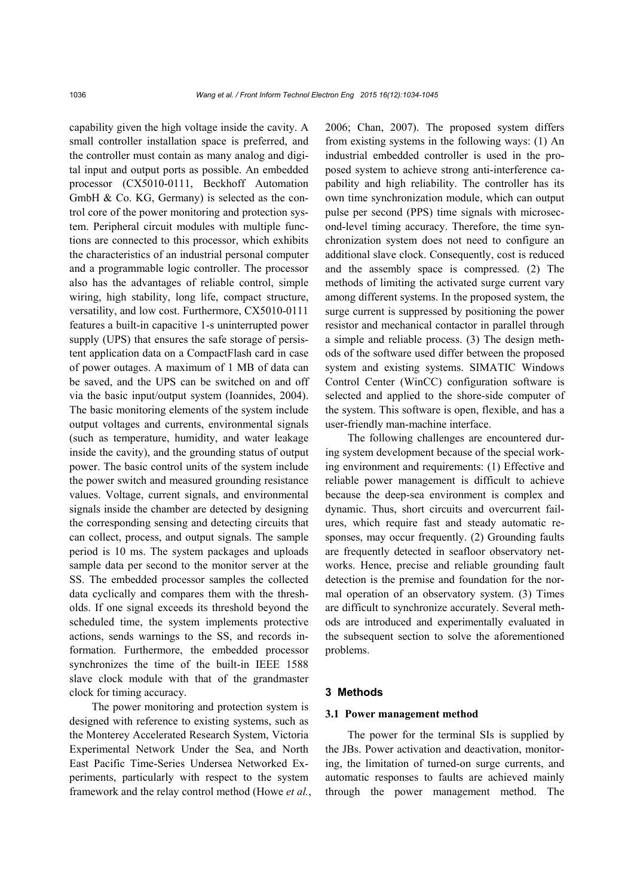capability given the high voltage inside the cavity. A small controller installation space is preferred, and the controller must contain as many analog and digital input and output ports as possible. An embedded processor (CX5010-0111, Beckhoff Automation GmbH & Co. KG, Germany) is selected as the control core of the power monitoring and protection system. Peripheral circuit modules with multiple functions are connected to this processor, which exhibits the characteristics of an industrial personal computer and a programmable logic controller. The processor also has the advantages of reliable control, simple wiring, high stability, long life, compact structure, versatility, and low cost. Furthermore, CX5010-0111 features a built-in capacitive 1-s uninterrupted power supply (UPS) that ensures the safe storage of persistent application data on a CompactFlash card in case of power outages. A maximum of 1 MB of data can be saved, and the UPS can be switched on and off via the basic input/output system (Ioannides, 2004). The basic monitoring elements of the system include output voltages and currents, environmental signals (such as temperature, humidity, and water leakage inside the cavity), and the grounding status of output power. The basic control units of the system include the power switch and measured grounding resistance values. Voltage, current signals, and environmental signals inside the chamber are detected by designing the corresponding sensing and detecting circuits that can collect, process, and output signals. The sample period is 10 ms. The system packages and uploads sample data per second to the monitor server at the SS. The embedded processor samples the collected data cyclically and compares them with the thresholds. If one signal exceeds its threshold beyond the scheduled time, the system implements protective actions, sends warnings to the SS, and records information. Furthermore, the embedded processor synchronizes the time of the built-in IEEE 1588 slave clock module with that of the grandmaster clock for timing accuracy.

The power monitoring and protection system is designed with reference to existing systems, such as the Monterey Accelerated Research System, Victoria Experimental Network Under the Sea, and North East Pacific Time-Series Undersea Networked Experiments, particularly with respect to the system framework and the relay control method (Howe *et al.*, 2006; Chan, 2007). The proposed system differs from existing systems in the following ways: (1) An industrial embedded controller is used in the proposed system to achieve strong anti-interference capability and high reliability. The controller has its own time synchronization module, which can output pulse per second (PPS) time signals with microsecond-level timing accuracy. Therefore, the time synchronization system does not need to configure an additional slave clock. Consequently, cost is reduced and the assembly space is compressed. (2) The methods of limiting the activated surge current vary among different systems. In the proposed system, the surge current is suppressed by positioning the power resistor and mechanical contactor in parallel through a simple and reliable process. (3) The design methods of the software used differ between the proposed system and existing systems. SIMATIC Windows Control Center (WinCC) configuration software is selected and applied to the shore-side computer of the system. This software is open, flexible, and has a user-friendly man-machine interface.

The following challenges are encountered during system development because of the special working environment and requirements: (1) Effective and reliable power management is difficult to achieve because the deep-sea environment is complex and dynamic. Thus, short circuits and overcurrent failures, which require fast and steady automatic responses, may occur frequently. (2) Grounding faults are frequently detected in seafloor observatory networks. Hence, precise and reliable grounding fault detection is the premise and foundation for the normal operation of an observatory system. (3) Times are difficult to synchronize accurately. Several methods are introduced and experimentally evaluated in the subsequent section to solve the aforementioned problems.

# **3 Methods**

#### **3.1 Power management method**

The power for the terminal SIs is supplied by the JBs. Power activation and deactivation, monitoring, the limitation of turned-on surge currents, and automatic responses to faults are achieved mainly through the power management method. The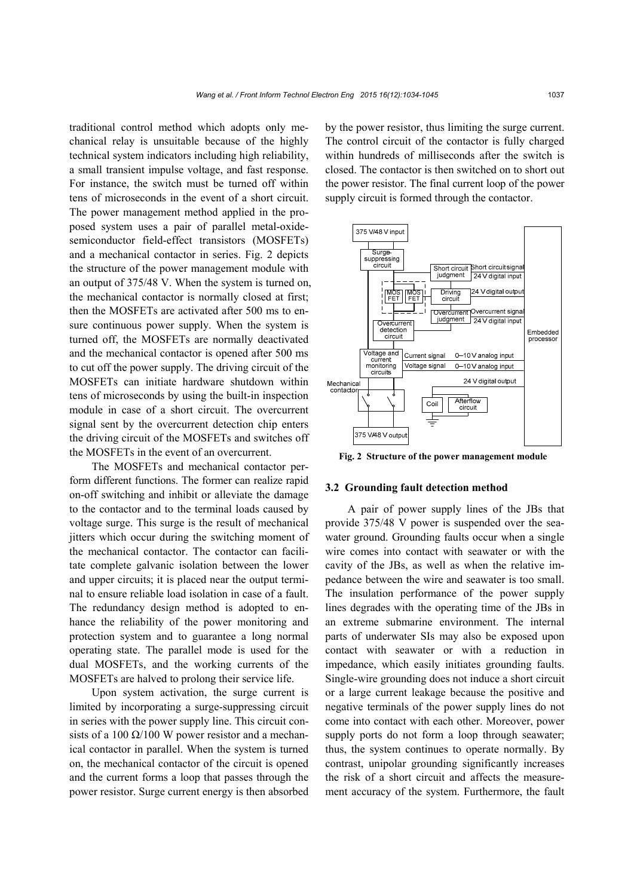traditional control method which adopts only mechanical relay is unsuitable because of the highly technical system indicators including high reliability, a small transient impulse voltage, and fast response. For instance, the switch must be turned off within tens of microseconds in the event of a short circuit. The power management method applied in the proposed system uses a pair of parallel metal-oxidesemiconductor field-effect transistors (MOSFETs) and a mechanical contactor in series. Fig. 2 depicts the structure of the power management module with an output of 375/48 V. When the system is turned on, the mechanical contactor is normally closed at first; then the MOSFETs are activated after 500 ms to ensure continuous power supply. When the system is turned off, the MOSFETs are normally deactivated and the mechanical contactor is opened after 500 ms to cut off the power supply. The driving circuit of the MOSFETs can initiate hardware shutdown within tens of microseconds by using the built-in inspection module in case of a short circuit. The overcurrent signal sent by the overcurrent detection chip enters the driving circuit of the MOSFETs and switches off the MOSFETs in the event of an overcurrent.

The MOSFETs and mechanical contactor perform different functions. The former can realize rapid on-off switching and inhibit or alleviate the damage to the contactor and to the terminal loads caused by voltage surge. This surge is the result of mechanical jitters which occur during the switching moment of the mechanical contactor. The contactor can facilitate complete galvanic isolation between the lower and upper circuits; it is placed near the output terminal to ensure reliable load isolation in case of a fault. The redundancy design method is adopted to enhance the reliability of the power monitoring and protection system and to guarantee a long normal operating state. The parallel mode is used for the dual MOSFETs, and the working currents of the MOSFETs are halved to prolong their service life.

Upon system activation, the surge current is limited by incorporating a surge-suppressing circuit in series with the power supply line. This circuit consists of a 100  $\Omega/100$  W power resistor and a mechanical contactor in parallel. When the system is turned on, the mechanical contactor of the circuit is opened and the current forms a loop that passes through the power resistor. Surge current energy is then absorbed by the power resistor, thus limiting the surge current. The control circuit of the contactor is fully charged within hundreds of milliseconds after the switch is closed. The contactor is then switched on to short out the power resistor. The final current loop of the power supply circuit is formed through the contactor.



**Fig. 2 Structure of the power management module**

## **3.2 Grounding fault detection method**

A pair of power supply lines of the JBs that provide 375/48 V power is suspended over the seawater ground. Grounding faults occur when a single wire comes into contact with seawater or with the cavity of the JBs, as well as when the relative impedance between the wire and seawater is too small. The insulation performance of the power supply lines degrades with the operating time of the JBs in an extreme submarine environment. The internal parts of underwater SIs may also be exposed upon contact with seawater or with a reduction in impedance, which easily initiates grounding faults. Single-wire grounding does not induce a short circuit or a large current leakage because the positive and negative terminals of the power supply lines do not come into contact with each other. Moreover, power supply ports do not form a loop through seawater; thus, the system continues to operate normally. By contrast, unipolar grounding significantly increases the risk of a short circuit and affects the measurement accuracy of the system. Furthermore, the fault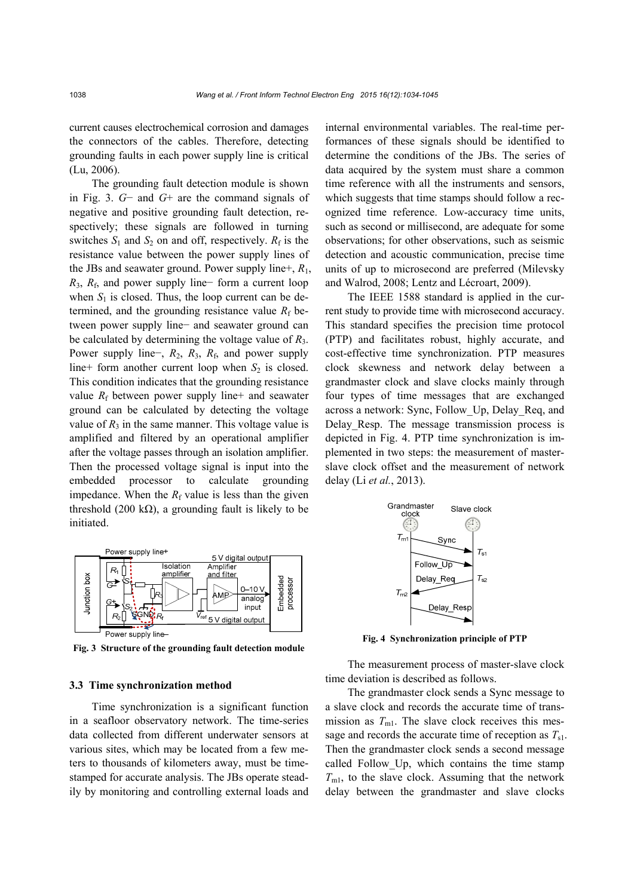current causes electrochemical corrosion and damages the connectors of the cables. Therefore, detecting grounding faults in each power supply line is critical (Lu, 2006).

The grounding fault detection module is shown in Fig. 3. *G*− and *G*+ are the command signals of negative and positive grounding fault detection, respectively; these signals are followed in turning switches  $S_1$  and  $S_2$  on and off, respectively.  $R_f$  is the resistance value between the power supply lines of the JBs and seawater ground. Power supply line+, *R*1, *R*3, *R*f, and power supply line− form a current loop when  $S_1$  is closed. Thus, the loop current can be determined, and the grounding resistance value  $R_f$  between power supply line− and seawater ground can be calculated by determining the voltage value of *R*3. Power supply line−, *R*2, *R*3, *R*f, and power supply line+ form another current loop when  $S_2$  is closed. This condition indicates that the grounding resistance value  $R_f$  between power supply line+ and seawater ground can be calculated by detecting the voltage value of  $R_3$  in the same manner. This voltage value is amplified and filtered by an operational amplifier after the voltage passes through an isolation amplifier. Then the processed voltage signal is input into the embedded processor to calculate grounding impedance. When the  $R_f$  value is less than the given threshold (200 k $\Omega$ ), a grounding fault is likely to be initiated.



**Fig. 3 Structure of the grounding fault detection module**

#### **3.3 Time synchronization method**

Time synchronization is a significant function in a seafloor observatory network. The time-series data collected from different underwater sensors at various sites, which may be located from a few meters to thousands of kilometers away, must be timestamped for accurate analysis. The JBs operate steadily by monitoring and controlling external loads and internal environmental variables. The real-time performances of these signals should be identified to determine the conditions of the JBs. The series of data acquired by the system must share a common time reference with all the instruments and sensors, which suggests that time stamps should follow a recognized time reference. Low-accuracy time units, such as second or millisecond, are adequate for some observations; for other observations, such as seismic detection and acoustic communication, precise time units of up to microsecond are preferred (Milevsky and Walrod, 2008; Lentz and Lécroart, 2009).

The IEEE 1588 standard is applied in the current study to provide time with microsecond accuracy. This standard specifies the precision time protocol (PTP) and facilitates robust, highly accurate, and cost-effective time synchronization. PTP measures clock skewness and network delay between a grandmaster clock and slave clocks mainly through four types of time messages that are exchanged across a network: Sync, Follow\_Up, Delay\_Req, and Delay\_Resp. The message transmission process is depicted in Fig. 4. PTP time synchronization is implemented in two steps: the measurement of masterslave clock offset and the measurement of network delay (Li *et al.*, 2013).



**Fig. 4 Synchronization principle of PTP**

The measurement process of master-slave clock time deviation is described as follows.

The grandmaster clock sends a Sync message to a slave clock and records the accurate time of transmission as  $T<sub>m1</sub>$ . The slave clock receives this message and records the accurate time of reception as  $T_{s1}$ . Then the grandmaster clock sends a second message called Follow\_Up, which contains the time stamp *T*m1, to the slave clock. Assuming that the network delay between the grandmaster and slave clocks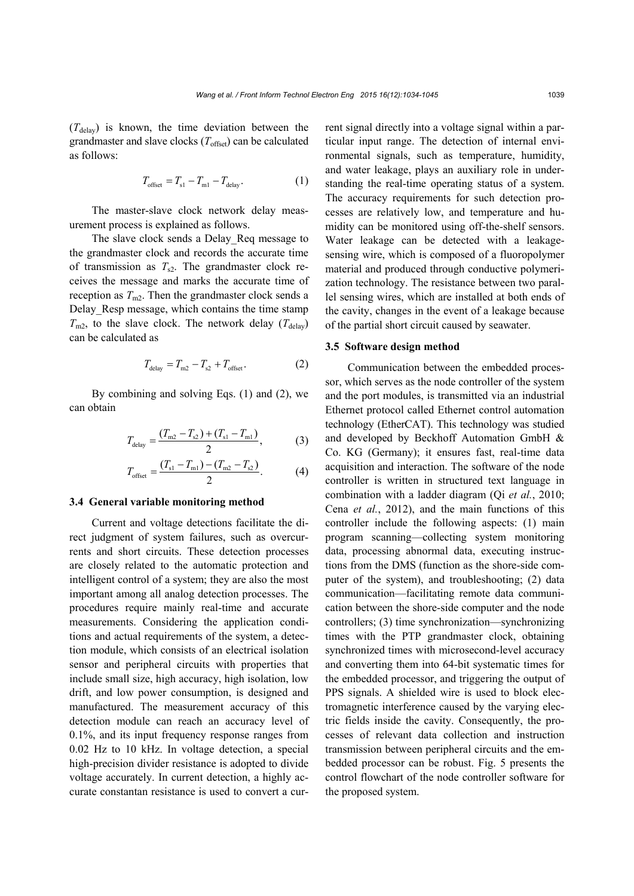$(T_{\text{delay}})$  is known, the time deviation between the grandmaster and slave clocks (*T*offset) can be calculated as follows:

$$
T_{\text{offset}} = T_{\text{sl}} - T_{\text{ml}} - T_{\text{delay}}.\tag{1}
$$

The master-slave clock network delay measurement process is explained as follows.

The slave clock sends a Delay Req message to the grandmaster clock and records the accurate time of transmission as  $T_{s2}$ . The grandmaster clock receives the message and marks the accurate time of reception as  $T_{m2}$ . Then the grandmaster clock sends a Delay Resp message, which contains the time stamp  $T_{\text{m2}}$ , to the slave clock. The network delay ( $T_{\text{delay}}$ ) can be calculated as

$$
T_{\text{delay}} = T_{\text{m2}} - T_{\text{s2}} + T_{\text{offset}}.\tag{2}
$$

By combining and solving Eqs. (1) and (2), we can obtain

$$
T_{\text{delay}} = \frac{(T_{\text{m2}} - T_{\text{s2}}) + (T_{\text{s1}} - T_{\text{m1}})}{2},\tag{3}
$$

$$
T_{\text{offset}} = \frac{(T_{\text{sl}} - T_{\text{ml}}) - (T_{\text{m2}} - T_{\text{sl}})}{2}.
$$
 (4)

## **3.4 General variable monitoring method**

Current and voltage detections facilitate the direct judgment of system failures, such as overcurrents and short circuits. These detection processes are closely related to the automatic protection and intelligent control of a system; they are also the most important among all analog detection processes. The procedures require mainly real-time and accurate measurements. Considering the application conditions and actual requirements of the system, a detection module, which consists of an electrical isolation sensor and peripheral circuits with properties that include small size, high accuracy, high isolation, low drift, and low power consumption, is designed and manufactured. The measurement accuracy of this detection module can reach an accuracy level of 0.1%, and its input frequency response ranges from 0.02 Hz to 10 kHz. In voltage detection, a special high-precision divider resistance is adopted to divide voltage accurately. In current detection, a highly accurate constantan resistance is used to convert a current signal directly into a voltage signal within a particular input range. The detection of internal environmental signals, such as temperature, humidity, and water leakage, plays an auxiliary role in understanding the real-time operating status of a system. The accuracy requirements for such detection processes are relatively low, and temperature and humidity can be monitored using off-the-shelf sensors. Water leakage can be detected with a leakagesensing wire, which is composed of a fluoropolymer material and produced through conductive polymerization technology. The resistance between two parallel sensing wires, which are installed at both ends of the cavity, changes in the event of a leakage because of the partial short circuit caused by seawater.

## **3.5 Software design method**

Communication between the embedded processor, which serves as the node controller of the system and the port modules, is transmitted via an industrial Ethernet protocol called Ethernet control automation technology (EtherCAT). This technology was studied and developed by Beckhoff Automation GmbH & Co. KG (Germany); it ensures fast, real-time data acquisition and interaction. The software of the node controller is written in structured text language in combination with a ladder diagram (Qi *et al.*, 2010; Cena *et al.*, 2012), and the main functions of this controller include the following aspects: (1) main program scanning—collecting system monitoring data, processing abnormal data, executing instructions from the DMS (function as the shore-side computer of the system), and troubleshooting; (2) data communication—facilitating remote data communication between the shore-side computer and the node controllers; (3) time synchronization—synchronizing times with the PTP grandmaster clock, obtaining synchronized times with microsecond-level accuracy and converting them into 64-bit systematic times for the embedded processor, and triggering the output of PPS signals. A shielded wire is used to block electromagnetic interference caused by the varying electric fields inside the cavity. Consequently, the processes of relevant data collection and instruction transmission between peripheral circuits and the embedded processor can be robust. Fig. 5 presents the control flowchart of the node controller software for the proposed system.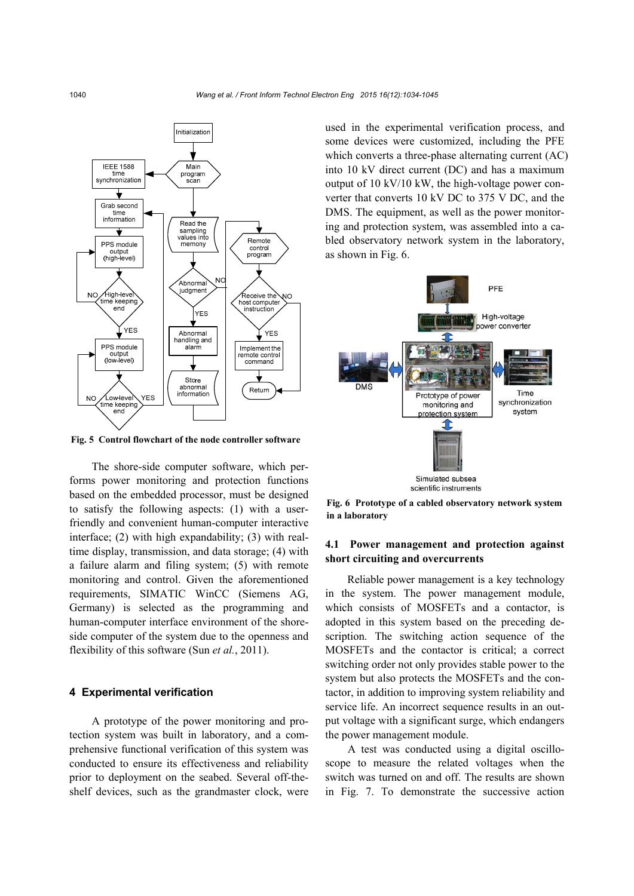

**Fig. 5 Control flowchart of the node controller software**

The shore-side computer software, which performs power monitoring and protection functions based on the embedded processor, must be designed to satisfy the following aspects: (1) with a userfriendly and convenient human-computer interactive interface; (2) with high expandability; (3) with realtime display, transmission, and data storage; (4) with a failure alarm and filing system; (5) with remote monitoring and control. Given the aforementioned requirements, SIMATIC WinCC (Siemens AG, Germany) is selected as the programming and human-computer interface environment of the shoreside computer of the system due to the openness and flexibility of this software (Sun *et al.*, 2011).

# **4 Experimental verification**

A prototype of the power monitoring and protection system was built in laboratory, and a comprehensive functional verification of this system was conducted to ensure its effectiveness and reliability prior to deployment on the seabed. Several off-theshelf devices, such as the grandmaster clock, were used in the experimental verification process, and some devices were customized, including the PFE which converts a three-phase alternating current (AC) into 10 kV direct current (DC) and has a maximum output of 10 kV/10 kW, the high-voltage power converter that converts 10 kV DC to 375 V DC, and the DMS. The equipment, as well as the power monitoring and protection system, was assembled into a cabled observatory network system in the laboratory, as shown in Fig. 6.



**Fig. 6 Prototype of a cabled observatory network system in a laboratory**

# **4.1 Power management and protection against short circuiting and overcurrents**

Reliable power management is a key technology in the system. The power management module, which consists of MOSFETs and a contactor, is adopted in this system based on the preceding description. The switching action sequence of the MOSFETs and the contactor is critical; a correct switching order not only provides stable power to the system but also protects the MOSFETs and the contactor, in addition to improving system reliability and service life. An incorrect sequence results in an output voltage with a significant surge, which endangers the power management module.

A test was conducted using a digital oscilloscope to measure the related voltages when the switch was turned on and off. The results are shown in Fig. 7. To demonstrate the successive action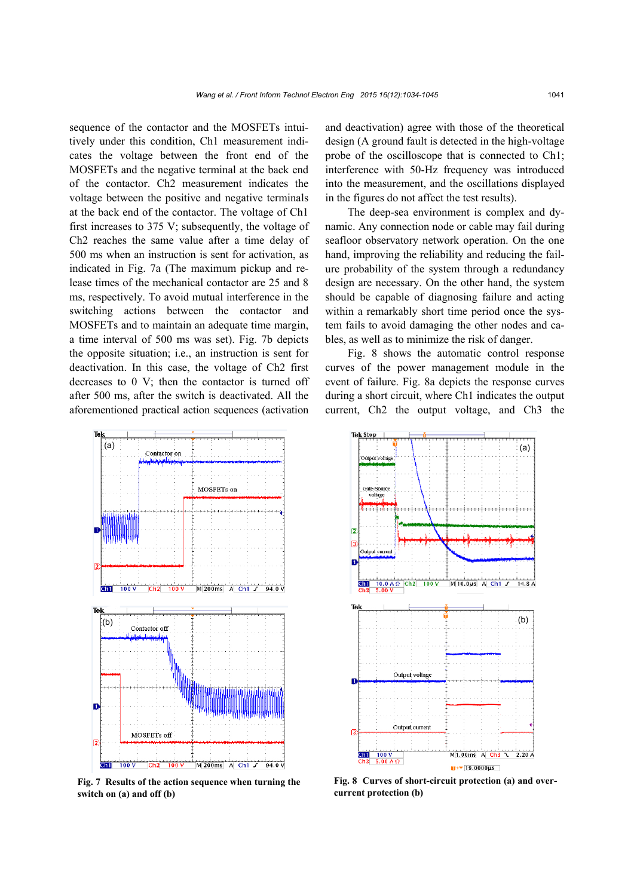sequence of the contactor and the MOSFETs intuitively under this condition, Ch1 measurement indicates the voltage between the front end of the MOSFETs and the negative terminal at the back end of the contactor. Ch2 measurement indicates the voltage between the positive and negative terminals at the back end of the contactor. The voltage of Ch1 first increases to 375 V; subsequently, the voltage of Ch2 reaches the same value after a time delay of 500 ms when an instruction is sent for activation, as indicated in Fig. 7a (The maximum pickup and release times of the mechanical contactor are 25 and 8 ms, respectively. To avoid mutual interference in the switching actions between the contactor and MOSFETs and to maintain an adequate time margin, a time interval of 500 ms was set). Fig. 7b depicts the opposite situation; i.e., an instruction is sent for deactivation. In this case, the voltage of Ch2 first decreases to 0 V; then the contactor is turned off after 500 ms, after the switch is deactivated. All the aforementioned practical action sequences (activation



**Fig. 7 Results of the action sequence when turning the switch on (a) and off (b)**

and deactivation) agree with those of the theoretical design (A ground fault is detected in the high-voltage probe of the oscilloscope that is connected to Ch1; interference with 50-Hz frequency was introduced into the measurement, and the oscillations displayed in the figures do not affect the test results).

The deep-sea environment is complex and dynamic. Any connection node or cable may fail during seafloor observatory network operation. On the one hand, improving the reliability and reducing the failure probability of the system through a redundancy design are necessary. On the other hand, the system should be capable of diagnosing failure and acting within a remarkably short time period once the system fails to avoid damaging the other nodes and cables, as well as to minimize the risk of danger.

Fig. 8 shows the automatic control response curves of the power management module in the event of failure. Fig. 8a depicts the response curves during a short circuit, where Ch1 indicates the output current, Ch2 the output voltage, and Ch3 the



**Fig. 8 Curves of short-circuit protection (a) and overcurrent protection (b)**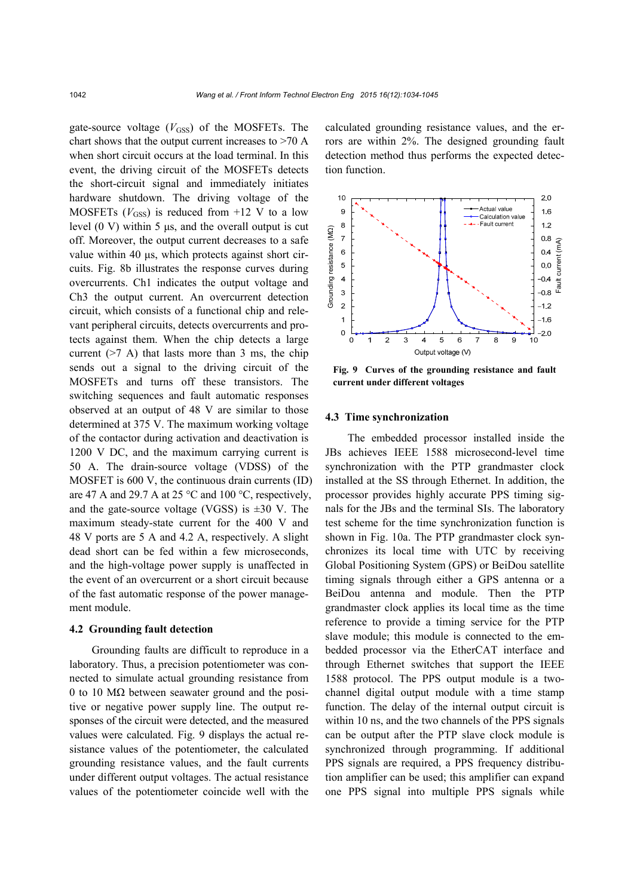gate-source voltage  $(V_{GSS})$  of the MOSFETs. The chart shows that the output current increases to >70 A when short circuit occurs at the load terminal. In this event, the driving circuit of the MOSFETs detects the short-circuit signal and immediately initiates hardware shutdown. The driving voltage of the MOSFETs  $(V_{GSS})$  is reduced from +12 V to a low level  $(0 V)$  within 5  $\mu$ s, and the overall output is cut off. Moreover, the output current decreases to a safe value within 40 μs, which protects against short circuits. Fig. 8b illustrates the response curves during overcurrents. Ch1 indicates the output voltage and Ch3 the output current. An overcurrent detection circuit, which consists of a functional chip and relevant peripheral circuits, detects overcurrents and protects against them. When the chip detects a large current  $($ >7 A) that lasts more than 3 ms, the chip sends out a signal to the driving circuit of the MOSFETs and turns off these transistors. The switching sequences and fault automatic responses observed at an output of 48 V are similar to those determined at 375 V. The maximum working voltage of the contactor during activation and deactivation is 1200 V DC, and the maximum carrying current is 50 A. The drain-source voltage (VDSS) of the MOSFET is 600 V, the continuous drain currents (ID) are 47 A and 29.7 A at 25  $^{\circ}$ C and 100  $^{\circ}$ C, respectively, and the gate-source voltage (VGSS) is  $\pm 30$  V. The maximum steady-state current for the 400 V and 48 V ports are 5 A and 4.2 A, respectively. A slight dead short can be fed within a few microseconds, and the high-voltage power supply is unaffected in the event of an overcurrent or a short circuit because of the fast automatic response of the power management module.

#### **4.2 Grounding fault detection**

Grounding faults are difficult to reproduce in a laboratory. Thus, a precision potentiometer was connected to simulate actual grounding resistance from 0 to 10 MΩ between seawater ground and the positive or negative power supply line. The output responses of the circuit were detected, and the measured values were calculated. Fig. 9 displays the actual resistance values of the potentiometer, the calculated grounding resistance values, and the fault currents under different output voltages. The actual resistance values of the potentiometer coincide well with the calculated grounding resistance values, and the errors are within 2%. The designed grounding fault detection method thus performs the expected detection function.



**Fig. 9 Curves of the grounding resistance and fault current under different voltages**

#### **4.3 Time synchronization**

The embedded processor installed inside the JBs achieves IEEE 1588 microsecond-level time synchronization with the PTP grandmaster clock installed at the SS through Ethernet. In addition, the processor provides highly accurate PPS timing signals for the JBs and the terminal SIs. The laboratory test scheme for the time synchronization function is shown in Fig. 10a. The PTP grandmaster clock synchronizes its local time with UTC by receiving Global Positioning System (GPS) or BeiDou satellite timing signals through either a GPS antenna or a BeiDou antenna and module. Then the PTP grandmaster clock applies its local time as the time reference to provide a timing service for the PTP slave module; this module is connected to the embedded processor via the EtherCAT interface and through Ethernet switches that support the IEEE 1588 protocol. The PPS output module is a twochannel digital output module with a time stamp function. The delay of the internal output circuit is within 10 ns, and the two channels of the PPS signals can be output after the PTP slave clock module is synchronized through programming. If additional PPS signals are required, a PPS frequency distribution amplifier can be used; this amplifier can expand one PPS signals are the multiple PPS signals are point of the discussion of the interaction of the interaction of the groundwillage (MB) on the synchronization and model processor installed inside the proposition with th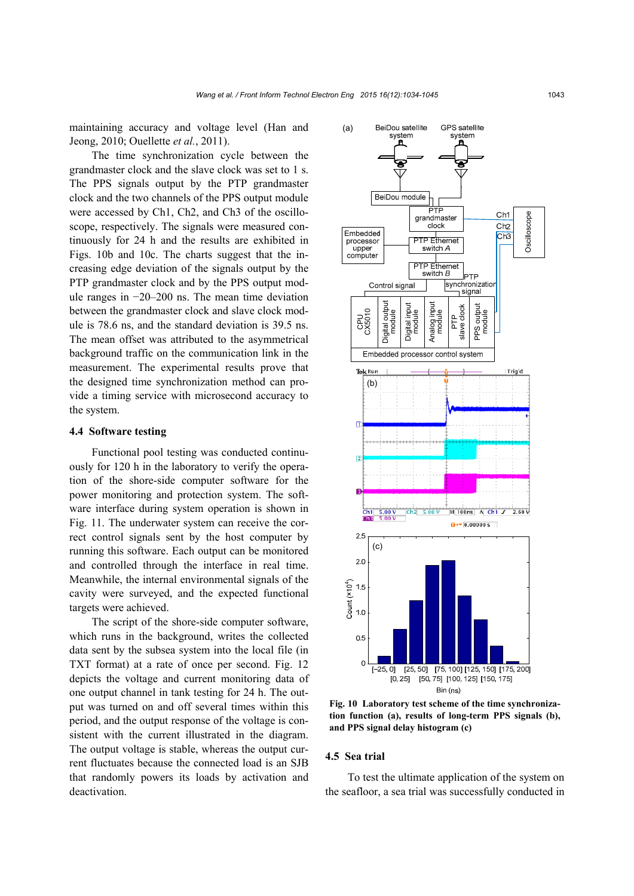maintaining accuracy and voltage level (Han and Jeong, 2010; Ouellette *et al.*, 2011).

The time synchronization cycle between the grandmaster clock and the slave clock was set to 1 s. The PPS signals output by the PTP grandmaster clock and the two channels of the PPS output module were accessed by Ch1, Ch2, and Ch3 of the oscilloscope, respectively. The signals were measured continuously for 24 h and the results are exhibited in Figs. 10b and 10c. The charts suggest that the increasing edge deviation of the signals output by the PTP grandmaster clock and by the PPS output module ranges in −20–200 ns. The mean time deviation between the grandmaster clock and slave clock module is 78.6 ns, and the standard deviation is 39.5 ns. The mean offset was attributed to the asymmetrical background traffic on the communication link in the measurement. The experimental results prove that the designed time synchronization method can provide a timing service with microsecond accuracy to the system.

# **4.4 Software testing**

Functional pool testing was conducted continuously for 120 h in the laboratory to verify the operation of the shore-side computer software for the power monitoring and protection system. The software interface during system operation is shown in Fig. 11. The underwater system can receive the correct control signals sent by the host computer by running this software. Each output can be monitored and controlled through the interface in real time. Meanwhile, the internal environmental signals of the cavity were surveyed, and the expected functional targets were achieved.

The script of the shore-side computer software, which runs in the background, writes the collected data sent by the subsea system into the local file (in TXT format) at a rate of once per second. Fig. 12 depicts the voltage and current monitoring data of one output channel in tank testing for 24 h. The output was turned on and off several times within this period, and the output response of the voltage is consistent with the current illustrated in the diagram. The output voltage is stable, whereas the output current fluctuates because the connected load is an SJB that randomly powers its loads by activation and deactivation.



**Fig. 10 Laboratory test scheme of the time synchronization function (a), results of long-term PPS signals (b), and PPS signal delay histogram (c)** 

# **4.5 Sea trial**

To test the ultimate application of the system on the seafloor, a sea trial was successfully conducted in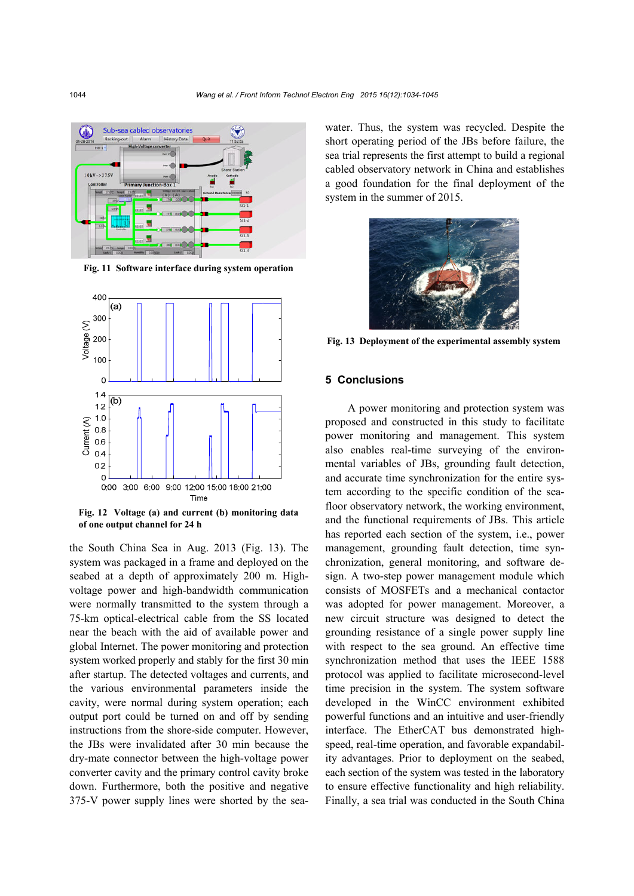

**Fig. 11 Software interface during system operation**



**Fig. 12 Voltage (a) and current (b) monitoring data of one output channel for 24 h**

the South China Sea in Aug. 2013 (Fig. 13). The system was packaged in a frame and deployed on the seabed at a depth of approximately 200 m. Highvoltage power and high-bandwidth communication were normally transmitted to the system through a 75-km optical-electrical cable from the SS located near the beach with the aid of available power and global Internet. The power monitoring and protection system worked properly and stably for the first 30 min after startup. The detected voltages and currents, and the various environmental parameters inside the cavity, were normal during system operation; each output port could be turned on and off by sending instructions from the shore-side computer. However, the JBs were invalidated after 30 min because the dry-mate connector between the high-voltage power converter cavity and the primary control cavity broke down. Furthermore, both the positive and negative 375-V power supply lines were shorted by the seawater. Thus, the system was recycled. Despite the short operating period of the JBs before failure, the sea trial represents the first attempt to build a regional cabled observatory network in China and establishes a good foundation for the final deployment of the system in the summer of 2015.



**Fig. 13 Deployment of the experimental assembly system**

# **5 Conclusions**

A power monitoring and protection system was proposed and constructed in this study to facilitate power monitoring and management. This system also enables real-time surveying of the environmental variables of JBs, grounding fault detection, and accurate time synchronization for the entire system according to the specific condition of the seafloor observatory network, the working environment, and the functional requirements of JBs. This article has reported each section of the system, i.e., power management, grounding fault detection, time synchronization, general monitoring, and software design. A two-step power management module which consists of MOSFETs and a mechanical contactor was adopted for power management. Moreover, a new circuit structure was designed to detect the grounding resistance of a single power supply line with respect to the sea ground. An effective time synchronization method that uses the IEEE 1588 protocol was applied to facilitate microsecond-level time precision in the system. The system software developed in the WinCC environment exhibited powerful functions and an intuitive and user-friendly interface. The EtherCAT bus demonstrated highspeed, real-time operation, and favorable expandability advantages. Prior to deployment on the seabed, each section of the system was tested in the laboratory to ensure effective functionality and high reliability. Finally, a sea trial was conducted in the South China